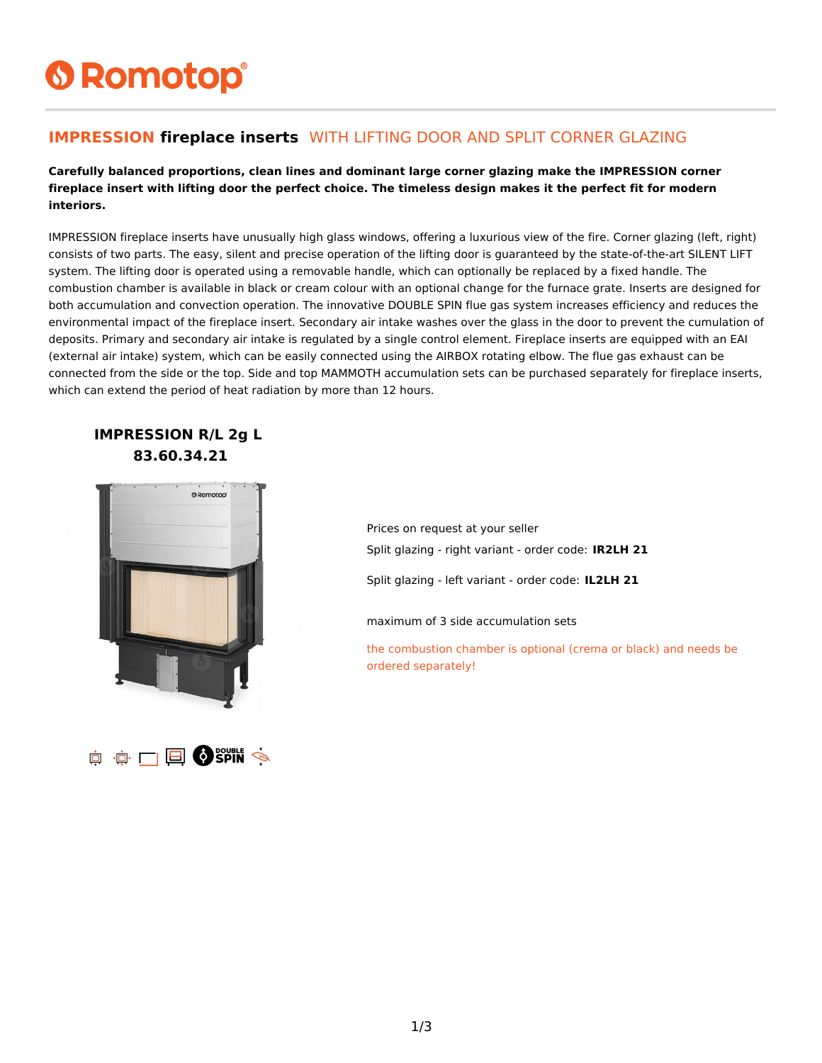# **6 Romotop®**

#### **IMPRESSION fireplace inserts** WITH LIFTING DOOR AND SPLIT CORNER GLAZING

**Carefully balanced proportions, clean lines and dominant large corner glazing make the IMPRESSION corner fireplace insert with lifting door the perfect choice. The timeless design makes it the perfect fit for modern interiors.**

IMPRESSION fireplace inserts have unusually high glass windows, offering a luxurious view of the fire. Corner glazing (left, right) consists of two parts. The easy, silent and precise operation of the lifting door is guaranteed by the state-of-the-art SILENT LIFT system. The lifting door is operated using a removable handle, which can optionally be replaced by a fixed handle. The combustion chamber is available in black or cream colour with an optional change for the furnace grate. Inserts are designed for both accumulation and convection operation. The innovative DOUBLE SPIN flue gas system increases efficiency and reduces the environmental impact of the fireplace insert. Secondary air intake washes over the glass in the door to prevent the cumulation of deposits. Primary and secondary air intake is regulated by a single control element. Fireplace inserts are equipped with an EAI (external air intake) system, which can be easily connected using the AIRBOX rotating elbow. The flue gas exhaust can be connected from the side or the top. Side and top MAMMOTH accumulation sets can be purchased separately for fireplace inserts, which can extend the period of heat radiation by more than 12 hours.

#### **IMPRESSION R/L 2g L 83.60.34.21**



O OF CHE OF SPIN S

Prices on request at your seller Split glazing - right variant - order code: **IR2LH 21**

Split glazing - left variant - order code: **IL2LH 21**

maximum of 3 side accumulation sets

the combustion chamber is optional (crema or black) and needs be ordered separately!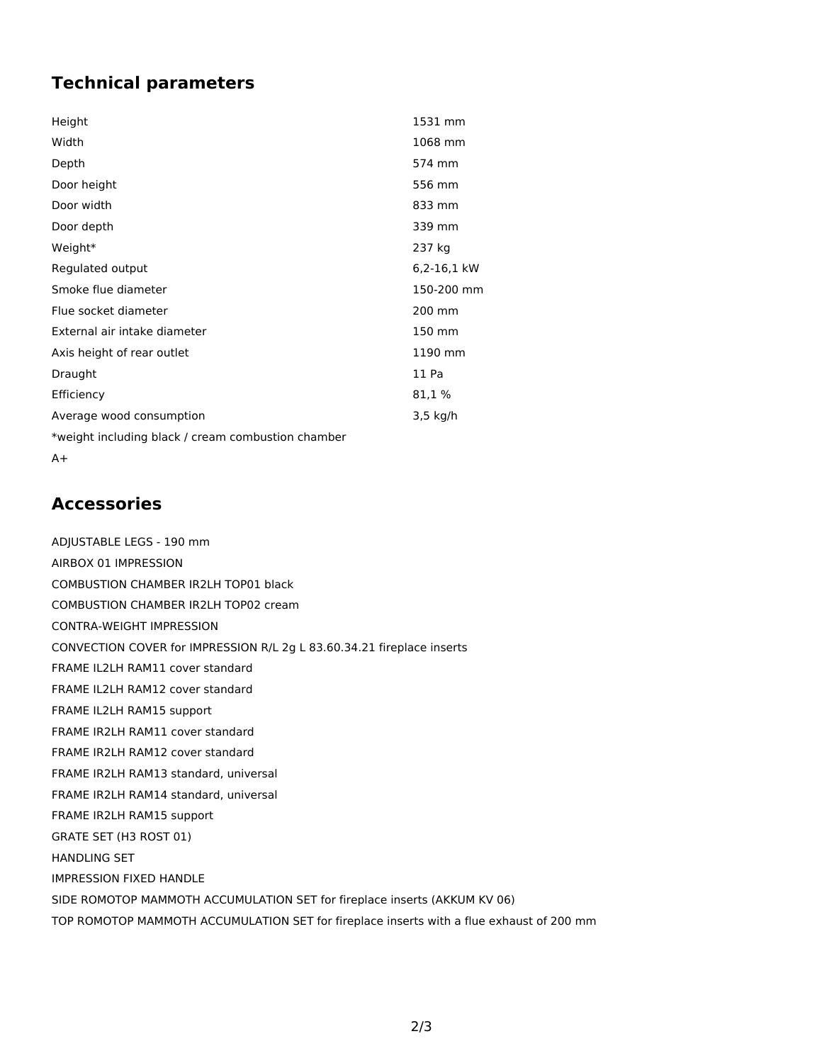## **Technical parameters**

| Height                                             | 1531 mm     |
|----------------------------------------------------|-------------|
| Width                                              | 1068 mm     |
| Depth                                              | 574 mm      |
| Door height                                        | 556 mm      |
| Door width                                         | 833 mm      |
| Door depth                                         | 339 mm      |
| Weight*                                            | 237 kg      |
| Regulated output                                   | 6,2-16,1 kW |
| Smoke flue diameter                                | 150-200 mm  |
| Flue socket diameter                               | 200 mm      |
| External air intake diameter                       | 150 mm      |
| Axis height of rear outlet                         | 1190 mm     |
| Draught                                            | 11 Pa       |
| Efficiency                                         | 81,1 %      |
| Average wood consumption                           | 3,5 kg/h    |
| *weight including black / cream combustion chamber |             |
| A+                                                 |             |

### **Accessories**

ADJUSTABLE LEGS - 190 mm AIRBOX 01 IMPRESSION COMBUSTION CHAMBER IR2LH TOP01 black COMBUSTION CHAMBER IR2LH TOP02 cream CONTRA-WEIGHT IMPRESSION CONVECTION COVER for IMPRESSION R/L 2g L 83.60.34.21 fireplace inserts FRAME IL2LH RAM11 cover standard FRAME IL2LH RAM12 cover standard FRAME IL2LH RAM15 support FRAME IR2LH RAM11 cover standard FRAME IR2LH RAM12 cover standard FRAME IR2LH RAM13 standard, universal FRAME IR2LH RAM14 standard, universal FRAME IR2LH RAM15 support GRATE SET (H3 ROST 01) HANDLING SET IMPRESSION FIXED HANDLE SIDE ROMOTOP MAMMOTH ACCUMULATION SET for fireplace inserts (AKKUM KV 06) TOP ROMOTOP MAMMOTH ACCUMULATION SET for fireplace inserts with a flue exhaust of 200 mm